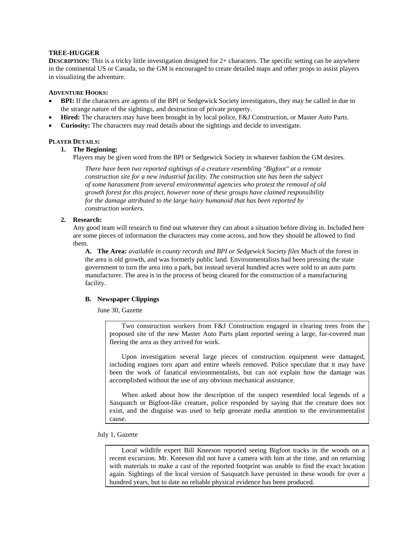# **TREE-HUGGER**

**DESCRIPTION:** This is a tricky little investigation designed for 2+ characters. The specific setting can be anywhere in the continental US or Canada, so the GM is encouraged to create detailed maps and other props to assist players in visualizing the adventure.

## **ADVENTURE HOOKS:**

- **BPI:** If the characters are agents of the BPI or Sedgewick Society investigators, they may be called in due to the strange nature of the sightings, and destruction of private property.
- **Hired:** The characters may have been brought in by local police, F&J Construction, or Master Auto Parts.
- **Curiosity:** The characters may read details about the sightings and decide to investigate.

# **PLAYER DETAILS:**

# **1. The Beginning:**

Players may be given word from the BPI or Sedgewick Society in whatever fashion the GM desires.

*There have been two reported sightings of a creature resembling "Bigfoot" at a remote construction site for a new industrial facility. The construction site has been the subject of some harassment from several environmental agencies who protest the removal of old growth forest for this project, however none of these groups have claimed responsibility for the damage attributed to the large hairy humanoid that has been reported by construction workers.*

# **2. Research:**

Any good team will research to find out whatever they can about a situation before diving in. Included here are some pieces of information the characters may come across, and how they should be allowed to find them.

**A. The Area:** *available in county records and BPI or Sedgewick Society files* Much of the forest in the area is old growth, and was formerly public land. Environmentalists had been pressing the state government to turn the area into a park, but instead several hundred acres were sold to an auto parts manufacturer. The area is in the process of being cleared for the construction of a manufacturing facility.

# **B. Newspaper Clippings**

June 30, Gazette

Two construction workers from F&J Construction engaged in clearing trees from the proposed site of the new Master Auto Parts plant reported seeing a large, fur-covered man fleeing the area as they arrived for work.

Upon investigation several large pieces of construction equipment were damaged, including engines torn apart and entire wheels removed. Police speculate that it may have been the work of fanatical environmentalists, but can not explain how the damage was accomplished without the use of any obvious mechanical assistance.

When asked about how the description of the suspect resembled local legends of a Sasquatch or Bigfoot-like creature, police responded by saying that the creature does not exist, and the disguise was used to help generate media attention to the environmentalist cause.

July 1, Gazette

Local wildlife expert Bill Kneeson reported seeing Bigfoot tracks in the woods on a recent excursion. Mr. Kneeson did not have a camera with him at the time, and on returning with materials to make a cast of the reported footprint was unable to find the exact location again. Sightings of the local version of Sasquatch have persisted in these woods for over a hundred years, but to date no reliable physical evidence has been produced.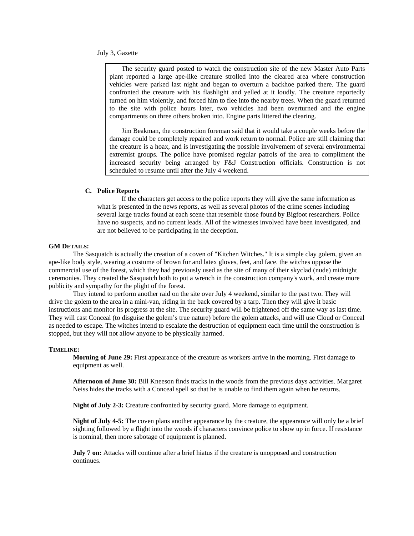#### July 3, Gazette

The security guard posted to watch the construction site of the new Master Auto Parts plant reported a large ape-like creature strolled into the cleared area where construction vehicles were parked last night and began to overturn a backhoe parked there. The guard confronted the creature with his flashlight and yelled at it loudly. The creature reportedly turned on him violently, and forced him to flee into the nearby trees. When the guard returned to the site with police hours later, two vehicles had been overturned and the engine compartments on three others broken into. Engine parts littered the clearing.

Jim Beakman, the construction foreman said that it would take a couple weeks before the damage could be completely repaired and work return to normal. Police are still claiming that the creature is a hoax, and is investigating the possible involvement of several environmental extremist groups. The police have promised regular patrols of the area to compliment the increased security being arranged by F&J Construction officials. Construction is not scheduled to resume until after the July 4 weekend.

# **C. Police Reports**

 If the characters get access to the police reports they will give the same information as what is presented in the news reports, as well as several photos of the crime scenes including several large tracks found at each scene that resemble those found by Bigfoot researchers. Police have no suspects, and no current leads. All of the witnesses involved have been investigated, and are not believed to be participating in the deception.

### **GM DETAILS:**

The Sasquatch is actually the creation of a coven of "Kitchen Witches." It is a simple clay golem, given an ape-like body style, wearing a costume of brown fur and latex gloves, feet, and face. the witches oppose the commercial use of the forest, which they had previously used as the site of many of their skyclad (nude) midnight ceremonies. They created the Sasquatch both to put a wrench in the construction company's work, and create more publicity and sympathy for the plight of the forest.

They intend to perform another raid on the site over July 4 weekend, similar to the past two. They will drive the golem to the area in a mini-van, riding in the back covered by a tarp. Then they will give it basic instructions and monitor its progress at the site. The security guard will be frightened off the same way as last time. They will cast Conceal (to disguise the golem's true nature) before the golem attacks, and will use Cloud or Conceal as needed to escape. The witches intend to escalate the destruction of equipment each time until the construction is stopped, but they will not allow anyone to be physically harmed.

#### **TIMELINE:**

**Morning of June 29:** First appearance of the creature as workers arrive in the morning. First damage to equipment as well.

**Afternoon of June 30:** Bill Kneeson finds tracks in the woods from the previous days activities. Margaret Neiss hides the tracks with a Conceal spell so that he is unable to find them again when he returns.

**Night of July 2-3:** Creature confronted by security guard. More damage to equipment.

**Night of July 4-5:** The coven plans another appearance by the creature, the appearance will only be a brief sighting followed by a flight into the woods if characters convince police to show up in force. If resistance is nominal, then more sabotage of equipment is planned.

**July 7 on:** Attacks will continue after a brief hiatus if the creature is unopposed and construction continues.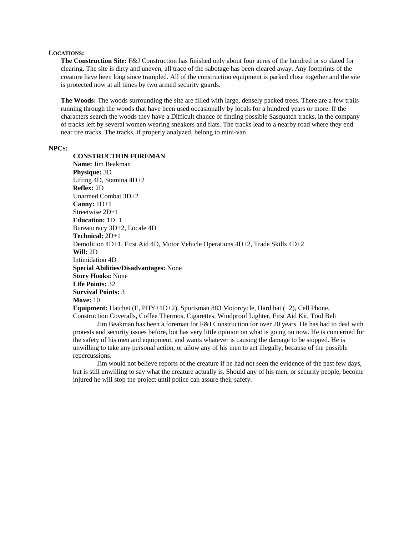### **LOCATIONS:**

**The Construction Site:** F&J Construction has finished only about four acres of the hundred or so slated for clearing. The site is dirty and uneven, all trace of the sabotage has been cleared away. Any footprints of the creature have been long since trampled. All of the construction equipment is parked close together and the site is protected now at all times by two armed security guards.

**The Woods:** The woods surrounding the site are filled with large, densely packed trees. There are a few trails running through the woods that have been used occasionally by locals for a hundred years or more. If the characters search the woods they have a Difficult chance of finding possible Sasquatch tracks, in the company of tracks left by several women wearing sneakers and flats. The tracks lead to a nearby road where they end near tire tracks. The tracks, if properly analyzed, belong to mini-van.

### **NPCS:**

**CONSTRUCTION FOREMAN Name:** Jim Beakman **Physique:** 3D Lifting 4D, Stamina 4D+2 **Reflex:** 2D Unarmed Combat 3D+2 **Canny:** 1D+1 Streetwise 2D+1 **Education:** 1D+1 Bureaucracy 3D+2, Locale 4D **Technical:** 2D+1 Demolition 4D+1, First Aid 4D, Motor Vehicle Operations 4D+2, Trade Skills 4D+2 **Will:** 2D Intimidation 4D **Special Abilities/Disadvantages:** None **Story Hooks:** None **Life Points:** 32 **Survival Points:** 3 **Move:** 10 **Equipment:** Hatchet (E, PHY+1D+2), Sportsman 883 Motorcycle, Hard hat (+2), Cell Phone, Construction Coveralls, Coffee Thermos, Cigarettes, Windproof Lighter, First Aid Kit, Tool Belt

Jim Beakman has been a foreman for F&J Construction for over 20 years. He has had to deal with protests and security issues before, but has very little opinion on what is going on now. He is concerned for the safety of his men and equipment, and wants whatever is causing the damage to be stopped. He is unwilling to take any personal action, or allow any of his men to act illegally, because of the possible repercussions.

Jim would not believe reports of the creature if he had not seen the evidence of the past few days, but is still unwilling to say what the creature actually is. Should any of his men, or security people, become injured he will stop the project until police can assure their safety.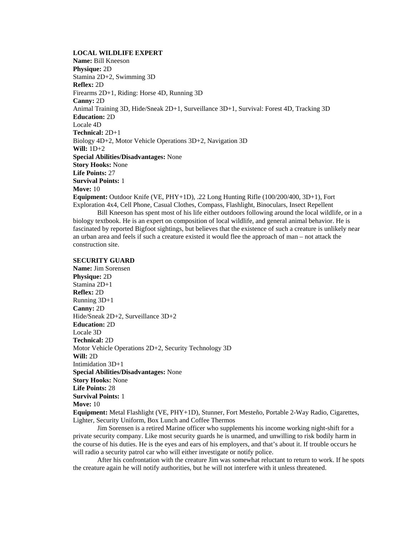## **LOCAL WILDLIFE EXPERT**

**Name:** Bill Kneeson **Physique:** 2D Stamina 2D+2, Swimming 3D **Reflex:** 2D Firearms 2D+1, Riding: Horse 4D, Running 3D **Canny:** 2D Animal Training 3D, Hide/Sneak 2D+1, Surveillance 3D+1, Survival: Forest 4D, Tracking 3D **Education:** 2D Locale 4D **Technical:** 2D+1 Biology 4D+2, Motor Vehicle Operations 3D+2, Navigation 3D **Will:** 1D+2 **Special Abilities/Disadvantages:** None **Story Hooks:** None **Life Points:** 27 **Survival Points:** 1 **Move:** 10 **Equipment:** Outdoor Knife (VE, PHY+1D), .22 Long Hunting Rifle (100/200/400, 3D+1), Fort Exploration 4x4, Cell Phone, Casual Clothes, Compass, Flashlight, Binoculars, Insect Repellent

Bill Kneeson has spent most of his life either outdoors following around the local wildlife, or in a biology textbook. He is an expert on composition of local wildlife, and general animal behavior. He is fascinated by reported Bigfoot sightings, but believes that the existence of such a creature is unlikely near an urban area and feels if such a creature existed it would flee the approach of man – not attack the construction site.

## **SECURITY GUARD**

**Name:** Jim Sorensen **Physique:** 2D Stamina 2D+1 **Reflex:** 2D Running 3D+1 **Canny:** 2D Hide/Sneak 2D+2, Surveillance 3D+2 **Education:** 2D Locale 3D **Technical:** 2D Motor Vehicle Operations 2D+2, Security Technology 3D **Will:** 2D Intimidation 3D+1 **Special Abilities/Disadvantages:** None **Story Hooks:** None **Life Points:** 28 **Survival Points:** 1 **Move:** 10 **Equipment:** Metal Flashlight (VE, PHY+1D), Stunner, Fort Mesteño, Portable 2-Way Radio, Cigarettes, Lighter, Security Uniform, Box Lunch and Coffee Thermos

Jim Sorensen is a retired Marine officer who supplements his income working night-shift for a private security company. Like most security guards he is unarmed, and unwilling to risk bodily harm in the course of his duties. He is the eyes and ears of his employers, and that's about it. If trouble occurs he will radio a security patrol car who will either investigate or notify police.

After his confrontation with the creature Jim was somewhat reluctant to return to work. If he spots the creature again he will notify authorities, but he will not interfere with it unless threatened.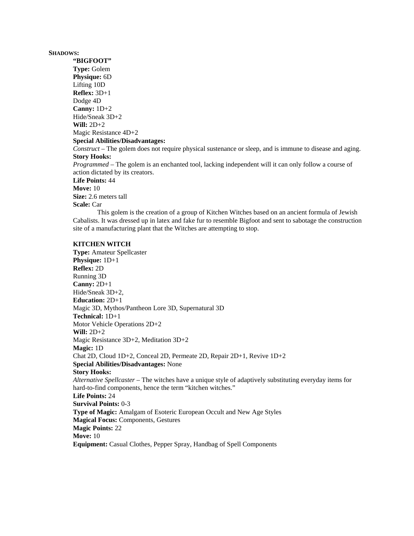#### **SHADOWS:**

**"BIGFOOT" Type:** Golem **Physique:** 6D Lifting 10D **Reflex:** 3D+1 Dodge 4D **Canny:** 1D+2 Hide/Sneak 3D+2 **Will:** 2D+2 Magic Resistance 4D+2 **Special Abilities/Disadvantages:** *Construct* – The golem does not require physical sustenance or sleep, and is immune to disease and aging. **Story Hooks:** *Programmed* – The golem is an enchanted tool, lacking independent will it can only follow a course of action dictated by its creators. **Life Points:** 44 **Move:** 10 **Size:** 2.6 meters tall **Scale:** Car

This golem is the creation of a group of Kitchen Witches based on an ancient formula of Jewish Cabalists. It was dressed up in latex and fake fur to resemble Bigfoot and sent to sabotage the construction site of a manufacturing plant that the Witches are attempting to stop.

### **KITCHEN WITCH**

**Type:** Amateur Spellcaster **Physique:** 1D+1 **Reflex:** 2D Running 3D **Canny:** 2D+1 Hide/Sneak 3D+2, **Education:** 2D+1 Magic 3D, Mythos/Pantheon Lore 3D, Supernatural 3D **Technical:** 1D+1 Motor Vehicle Operations 2D+2 **Will:** 2D+2 Magic Resistance 3D+2, Meditation 3D+2 **Magic:** 1D Chat 2D, Cloud 1D+2, Conceal 2D, Permeate 2D, Repair 2D+1, Revive 1D+2 **Special Abilities/Disadvantages:** None **Story Hooks:** *Alternative Spellcaster* – The witches have a unique style of adaptively substituting everyday items for hard-to-find components, hence the term "kitchen witches." **Life Points:** 24 **Survival Points:** 0-3 **Type of Magic:** Amalgam of Esoteric European Occult and New Age Styles **Magical Focus:** Components, Gestures **Magic Points:** 22 **Move:** 10 **Equipment:** Casual Clothes, Pepper Spray, Handbag of Spell Components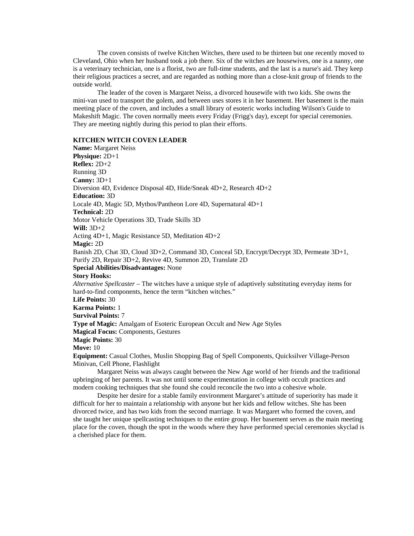The coven consists of twelve Kitchen Witches, there used to be thirteen but one recently moved to Cleveland, Ohio when her husband took a job there. Six of the witches are housewives, one is a nanny, one is a veterinary technician, one is a florist, two are full-time students, and the last is a nurse's aid. They keep their religious practices a secret, and are regarded as nothing more than a close-knit group of friends to the outside world.

The leader of the coven is Margaret Neiss, a divorced housewife with two kids. She owns the mini-van used to transport the golem, and between uses stores it in her basement. Her basement is the main meeting place of the coven, and includes a small library of esoteric works including Wilson's Guide to Makeshift Magic. The coven normally meets every Friday (Frigg's day), except for special ceremonies. They are meeting nightly during this period to plan their efforts.

## **KITCHEN WITCH COVEN LEADER**

**Name:** Margaret Neiss **Physique:** 2D+1 **Reflex:** 2D+2 Running 3D **Canny:** 3D+1 Diversion 4D, Evidence Disposal 4D, Hide/Sneak 4D+2, Research 4D+2 **Education:** 3D Locale 4D, Magic 5D, Mythos/Pantheon Lore 4D, Supernatural 4D+1 **Technical:** 2D Motor Vehicle Operations 3D, Trade Skills 3D **Will:** 3D+2 Acting 4D+1, Magic Resistance 5D, Meditation 4D+2 **Magic:** 2D Banish 2D, Chat 3D, Cloud 3D+2, Command 3D, Conceal 5D, Encrypt/Decrypt 3D, Permeate 3D+1, Purify 2D, Repair 3D+2, Revive 4D, Summon 2D, Translate 2D **Special Abilities/Disadvantages:** None **Story Hooks:** *Alternative Spellcaster* – The witches have a unique style of adaptively substituting everyday items for hard-to-find components, hence the term "kitchen witches." **Life Points:** 30 **Karma Points:** 1 **Survival Points:** 7 **Type of Magic:** Amalgam of Esoteric European Occult and New Age Styles **Magical Focus:** Components, Gestures **Magic Points:** 30 **Move:** 10 **Equipment:** Casual Clothes, Muslin Shopping Bag of Spell Components, Quicksilver Village-Person Minivan, Cell Phone, Flashlight

Margaret Neiss was always caught between the New Age world of her friends and the traditional upbringing of her parents. It was not until some experimentation in college with occult practices and modern cooking techniques that she found she could reconcile the two into a cohesive whole.

Despite her desire for a stable family environment Margaret's attitude of superiority has made it difficult for her to maintain a relationship with anyone but her kids and fellow witches. She has been divorced twice, and has two kids from the second marriage. It was Margaret who formed the coven, and she taught her unique spellcasting techniques to the entire group. Her basement serves as the main meeting place for the coven, though the spot in the woods where they have performed special ceremonies skyclad is a cherished place for them.